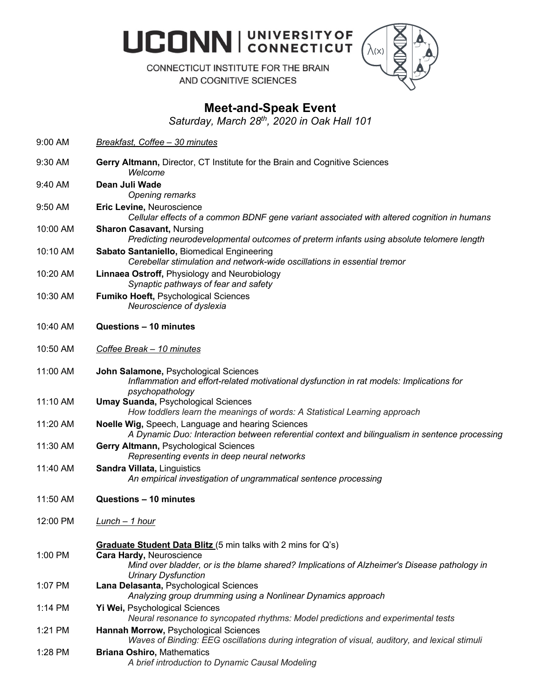**UCONN | UNIVERSITY OF** 



CONNECTICUT INSTITUTE FOR THE BRAIN AND COGNITIVE SCIENCES

## **Meet-and-Speak Event**

*Saturday, March 28th, 2020 in Oak Hall 101*

| $9:00$ AM | <b>Breakfast, Coffee - 30 minutes</b>                                                                                                                                                                                  |
|-----------|------------------------------------------------------------------------------------------------------------------------------------------------------------------------------------------------------------------------|
| $9:30$ AM | Gerry Altmann, Director, CT Institute for the Brain and Cognitive Sciences<br>Welcome                                                                                                                                  |
| 9:40 AM   | Dean Juli Wade<br>Opening remarks                                                                                                                                                                                      |
| 9:50 AM   | Eric Levine, Neuroscience<br>Cellular effects of a common BDNF gene variant associated with altered cognition in humans                                                                                                |
| 10:00 AM  | <b>Sharon Casavant, Nursing</b><br>Predicting neurodevelopmental outcomes of preterm infants using absolute telomere length                                                                                            |
| 10:10 AM  | Sabato Santaniello, Biomedical Engineering<br>Cerebellar stimulation and network-wide oscillations in essential tremor                                                                                                 |
| 10:20 AM  | Linnaea Ostroff, Physiology and Neurobiology<br>Synaptic pathways of fear and safety                                                                                                                                   |
| 10:30 AM  | Fumiko Hoeft, Psychological Sciences<br>Neuroscience of dyslexia                                                                                                                                                       |
| 10:40 AM  | Questions - 10 minutes                                                                                                                                                                                                 |
| 10:50 AM  | Coffee Break - 10 minutes                                                                                                                                                                                              |
| 11:00 AM  | John Salamone, Psychological Sciences<br>Inflammation and effort-related motivational dysfunction in rat models: Implications for<br>psychopathology                                                                   |
| 11:10 AM  | <b>Umay Suanda, Psychological Sciences</b><br>How toddlers learn the meanings of words: A Statistical Learning approach                                                                                                |
| 11:20 AM  | Noelle Wig, Speech, Language and hearing Sciences<br>A Dynamic Duo: Interaction between referential context and bilingualism in sentence processing                                                                    |
| 11:30 AM  | Gerry Altmann, Psychological Sciences<br>Representing events in deep neural networks                                                                                                                                   |
| 11:40 AM  | Sandra Villata, Linguistics<br>An empirical investigation of ungrammatical sentence processing                                                                                                                         |
| 11:50 AM  | Questions - 10 minutes                                                                                                                                                                                                 |
| 12:00 PM  | <u>Lunch – 1 hour</u>                                                                                                                                                                                                  |
| 1:00 PM   | Graduate Student Data Blitz (5 min talks with 2 mins for Q's)<br>Cara Hardy, Neuroscience<br>Mind over bladder, or is the blame shared? Implications of Alzheimer's Disease pathology in<br><b>Urinary Dysfunction</b> |
| 1:07 PM   | Lana Delasanta, Psychological Sciences<br>Analyzing group drumming using a Nonlinear Dynamics approach                                                                                                                 |
| 1:14 PM   | Yi Wei, Psychological Sciences<br>Neural resonance to syncopated rhythms: Model predictions and experimental tests                                                                                                     |
| $1:21$ PM | Hannah Morrow, Psychological Sciences<br>Waves of Binding: EEG oscillations during integration of visual, auditory, and lexical stimuli                                                                                |
| 1:28 PM   | <b>Briana Oshiro, Mathematics</b><br>A brief introduction to Dynamic Causal Modeling                                                                                                                                   |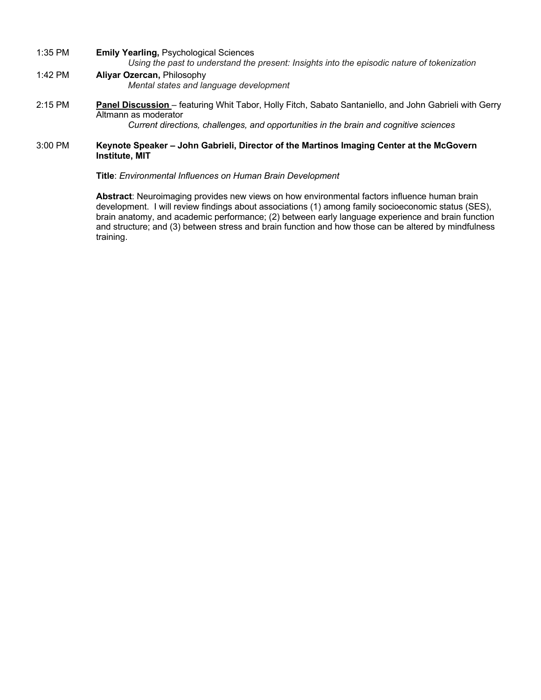- 1:35 PM **Emily Yearling,** Psychological Sciences *Using the past to understand the present: Insights into the episodic nature of tokenization*
- 1:42 PM **Aliyar Ozercan,** Philosophy *Mental states and language development*
- 2:15 PM **Panel Discussion** featuring Whit Tabor, Holly Fitch, Sabato Santaniello, and John Gabrieli with Gerry Altmann as moderator

*Current directions, challenges, and opportunities in the brain and cognitive sciences*

## 3:00 PM **Keynote Speaker – John Gabrieli, Director of the Martinos Imaging Center at the McGovern Institute, MIT**

**Title**: *Environmental Influences on Human Brain Development*

**Abstract**: Neuroimaging provides new views on how environmental factors influence human brain development. I will review findings about associations (1) among family socioeconomic status (SES), brain anatomy, and academic performance; (2) between early language experience and brain function and structure; and (3) between stress and brain function and how those can be altered by mindfulness training.